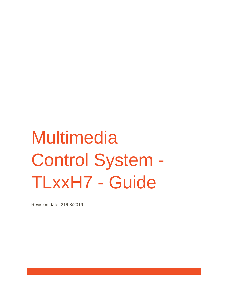# **Multimedia** Control System - TLxxH7 - Guide

Revision date: 21/08/2019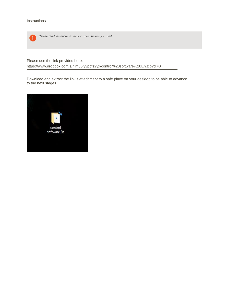

*Please read the entire instruction sheet before you start.*

Please use the link provided here;

<https://www.dropbox.com/s/hjm55iy3ppfs2yx/control%20software%20En.zip?dl=0>

Download and extract the link's attachment to a safe place on your desktop to be able to advance to the next stages.

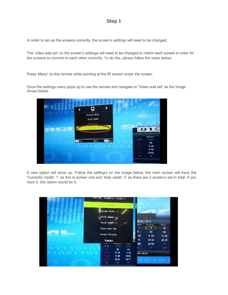In order to set up the screens correctly, the screen's settings will need to be changed.

The 'video wall set' on the screen's settings will need to be changed to match each screen in order for the screens to connect to each other correctly. To do this, please follow the steps below;

Press 'Menu' on the remote while pointing at the IR sensor under the screen.

Once the settings menu pops up to use the remote and navigate to "Video wall set" as the image shows below.

| ŧ               | ×<br>ç                                         |                                                  |
|-----------------|------------------------------------------------|--------------------------------------------------|
|                 | <b>Partner Noon</b>                            |                                                  |
|                 | Color Sode<br>ing advant.                      |                                                  |
| <b>Contract</b> | This Fill Gar                                  | <b>CONSUMP</b><br>O <sub>1</sub><br>$\leftarrow$ |
|                 |                                                |                                                  |
|                 |                                                | <b>Bullance</b><br>29<br><b>SYSE</b>             |
|                 | <b>CONTRACT</b><br><b>Mons</b><br><b>COLOR</b> | ٠                                                |
|                 |                                                | 12                                               |
|                 |                                                | 19                                               |
|                 |                                                | 26                                               |
|                 |                                                | 134.<br>$\alpha$                                 |

A new option will show up. Follow the setting's on the image below, the main screen will have the 'Currently Vaddr: 1' as this is screen one and 'total vaddr: 3' as there are 3 screen's set in total. If you have 5, this option would be 5.

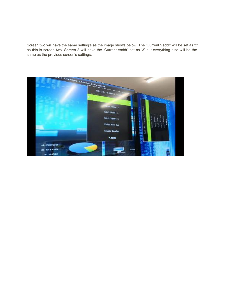Screen two will have the same setting's as the image shows below. The 'Current Vaddr' will be set as '2' as this is screen two. Screen 3 will have the 'Current vaddr' set as '3' but everything else will be the same as the previous screen's settings.

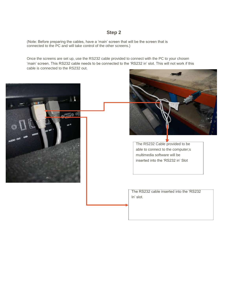(Note: Before preparing the cables, have a 'main' screen that will be the screen that is connected to the PC and will take control of the other screens.)

Once the screens are set up, use the RS232 cable provided to connect with the PC to your chosen 'main' screen. This RS232 cable needs to be connected to the 'RS232 in' slot. This will not work if this cable is connected to the RS232 out.

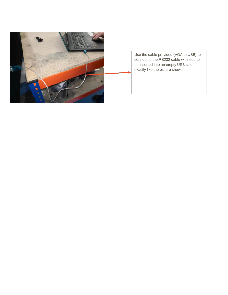

Use the cable provided (VGA to USB) to connect to the RS232 cable will need to be inserted into an empty USB slot, exactly like the picture shows.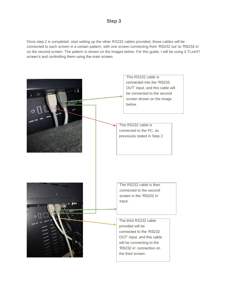Once step 2 is completed, start setting up the other RS232 cables provided, these cables will be connected to each screen in a certain pattern, with one screen connecting from 'RS232 out' to 'RS232 in' on the second screen. The pattern is shown on the images below. For this guide, I will be using 3 TLxxH7 screen's and controlling them using the main screen.

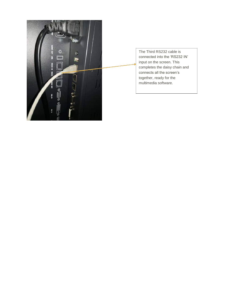

The Third RS232 cable is connected into the 'RS232 IN' input on the screen. This completes the daisy chain and connects all the screen's together, ready for the multimedia software.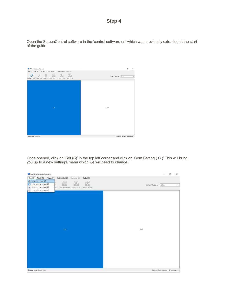Open the ScreenControl software in the 'control software en' which was previously extracted at the start of the guide.

| Multimedia control system                                                                                                                            | $\Box$<br>$\times$                  |
|------------------------------------------------------------------------------------------------------------------------------------------------------|-------------------------------------|
| Set(S) Tool(T) Plans(P) Subtitle(W) Display(0) Help(H)<br>√ × <i>■</i><br>ं<br>Œ<br>Open Connect Power On Power Off Save Machine Save Plan Read Plan | Input Channel: IN_1<br>$\checkmark$ |
|                                                                                                                                                      |                                     |
|                                                                                                                                                      |                                     |
| $1 - 1$                                                                                                                                              | $1 - 2$                             |
|                                                                                                                                                      |                                     |
|                                                                                                                                                      |                                     |
| General User Super User                                                                                                                              | Connection Status: Disconnect .:    |

Once opened, click on 'Set (S)' in the top left corner and click on 'Com Setting ( C )' This will bring you up to a new setting's menu which we will need to change.

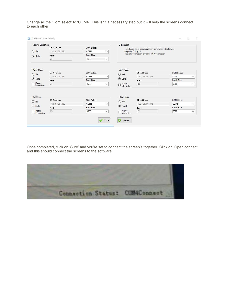Change all the 'Com select' to 'COM4'. This isn't a necessary step but it will help the screens connect to each other.

|                               | Splicing Equipment<br>IP Address | <b>COM Select</b>    | Explanation                                                                        |                                 |                      |  |
|-------------------------------|----------------------------------|----------------------|------------------------------------------------------------------------------------|---------------------------------|----------------------|--|
| О<br>Net                      | 192.168.201.192                  | COM4<br>$\checkmark$ | The default serial communication parameters: 8 data bits,<br>no parity, 1 stop bit |                                 |                      |  |
| $\circledcirc$<br>Serial      | Port                             | <b>Baud Rate</b>     | Network connection protocol: TCP connection                                        |                                 |                      |  |
|                               | 23                               | 9600<br>$\omega$     |                                                                                    |                                 |                      |  |
|                               |                                  |                      |                                                                                    |                                 |                      |  |
| <b>Video Matrix</b>           | IP Address                       | <b>COM Select</b>    | VGA Matrix                                                                         | IP Address                      | <b>COM Select</b>    |  |
| $\bigcirc$ Net                | 192.168.201.192                  | COM1                 | $\bigcirc$ Net<br>$\checkmark$                                                     | 192.168.201.192                 | COM1<br>$\checkmark$ |  |
| $\circledcirc$<br>Serial      |                                  | <b>Baud Rate</b>     | $\circledcirc$<br>Serial                                                           |                                 | <b>Baud Rate</b>     |  |
| Matrix                        | Port<br>23                       | 9600                 | Matrix                                                                             | Port<br>23                      | 9600                 |  |
| Interaction                   |                                  | $\checkmark$         | Interaction                                                                        |                                 | $\checkmark$         |  |
| <b>DVI Matrix</b><br>Net<br>O | IP Address                       | <b>COM Select</b>    | <b>HDMI Matrix</b><br>$\bigcirc$ Net                                               | IP Address<br><b>COM Select</b> |                      |  |
| Serial                        | 192.168.201.192                  | COM5<br>$\checkmark$ | Serial                                                                             | 192.168.201.192                 | COM5<br>$\checkmark$ |  |
|                               | Port                             | <b>Baud Rate</b>     |                                                                                    | Port                            | <b>Baud Rate</b>     |  |
| Matrix<br>Interaction         | 23                               | 9600<br>$\checkmark$ | Matrix<br>Interaction                                                              | 23                              | 9600<br>$\checkmark$ |  |

Once completed, click on 'Sure' and you're set to connect the screen's together. Click on 'Open connect' and this should connect the screens to the software.

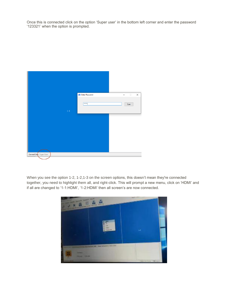Once this is connected click on the option 'Super user' in the bottom left corner and enter the password '123321' when the option is prompted.



When you see the option 1-2, 1-2,1-3 on the screen options, this doesn't mean they're connected together, you need to highlight them all, and right-click. This will prompt a new menu, click on 'HDMI' and if all are changed to '1-1:HDMI', '1-2:HDMI' then all screen's are now connected.